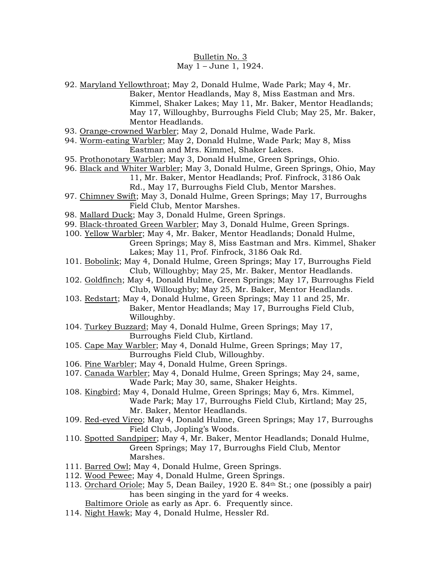## Bulletin No. 3 May 1 – June 1, 1924.

- 92. Maryland Yellowthroat; May 2, Donald Hulme, Wade Park; May 4, Mr. Baker, Mentor Headlands, May 8, Miss Eastman and Mrs. Kimmel, Shaker Lakes; May 11, Mr. Baker, Mentor Headlands; May 17, Willoughby, Burroughs Field Club; May 25, Mr. Baker, Mentor Headlands.
- 93. Orange-crowned Warbler; May 2, Donald Hulme, Wade Park.
- 94. Worm-eating Warbler; May 2, Donald Hulme, Wade Park; May 8, Miss Eastman and Mrs. Kimmel, Shaker Lakes.
- 95. Prothonotary Warbler; May 3, Donald Hulme, Green Springs, Ohio.
- 96. Black and Whiter Warbler; May 3, Donald Hulme, Green Springs, Ohio, May
	- 11, Mr. Baker, Mentor Headlands; Prof. Finfrock, 3186 Oak
	- Rd., May 17, Burroughs Field Club, Mentor Marshes.
- 97. Chimney Swift; May 3, Donald Hulme, Green Springs; May 17, Burroughs Field Club, Mentor Marshes.
- 98. Mallard Duck; May 3, Donald Hulme, Green Springs.
- 99. Black-throated Green Warbler; May 3, Donald Hulme, Green Springs.
- 100. Yellow Warbler; May 4, Mr. Baker, Mentor Headlands; Donald Hulme, Green Springs; May 8, Miss Eastman and Mrs. Kimmel, Shaker Lakes; May 11, Prof. Finfrock, 3186 Oak Rd.
- 101. Bobolink; May 4, Donald Hulme, Green Springs; May 17, Burroughs Field Club, Willoughby; May 25, Mr. Baker, Mentor Headlands.
- 102. Goldfinch; May 4, Donald Hulme, Green Springs; May 17, Burroughs Field Club, Willoughby; May 25, Mr. Baker, Mentor Headlands.
- 103. Redstart; May 4, Donald Hulme, Green Springs; May 11 and 25, Mr. Baker, Mentor Headlands; May 17, Burroughs Field Club, Willoughby.
- 104. Turkey Buzzard; May 4, Donald Hulme, Green Springs; May 17, Burroughs Field Club, Kirtland.
- 105. Cape May Warbler; May 4, Donald Hulme, Green Springs; May 17, Burroughs Field Club, Willoughby.
- 106. Pine Warbler; May 4, Donald Hulme, Green Springs.
- 107. Canada Warbler; May 4, Donald Hulme, Green Springs; May 24, same, Wade Park; May 30, same, Shaker Heights.
- 108. Kingbird; May 4, Donald Hulme, Green Springs; May 6, Mrs. Kimmel, Wade Park; May 17, Burroughs Field Club, Kirtland; May 25, Mr. Baker, Mentor Headlands.
- 109. Red-eyed Vireo; May 4, Donald Hulme, Green Springs; May 17, Burroughs Field Club, Jopling's Woods.
- 110. Spotted Sandpiper; May 4, Mr. Baker, Mentor Headlands; Donald Hulme, Green Springs; May 17, Burroughs Field Club, Mentor Marshes.
- 111. Barred Owl; May 4, Donald Hulme, Green Springs.
- 112. Wood Pewee; May 4, Donald Hulme, Green Springs.
- 113. Orchard Oriole; May 5, Dean Bailey, 1920 E. 84th St.; one (possibly a pair) has been singing in the yard for 4 weeks.

Baltimore Oriole as early as Apr. 6. Frequently since.

114. Night Hawk; May 4, Donald Hulme, Hessler Rd.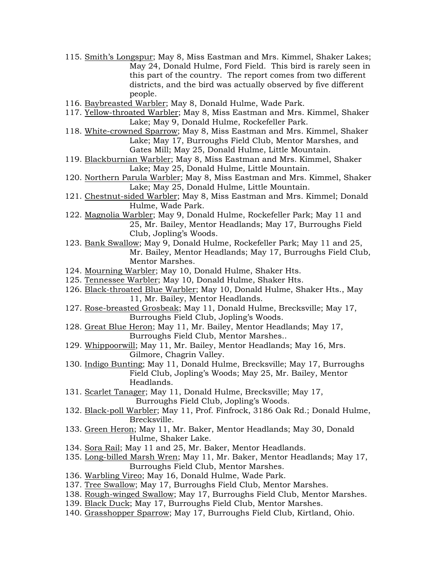- 115. Smith's Longspur; May 8, Miss Eastman and Mrs. Kimmel, Shaker Lakes; May 24, Donald Hulme, Ford Field. This bird is rarely seen in this part of the country. The report comes from two different districts, and the bird was actually observed by five different people.
- 116. Baybreasted Warbler; May 8, Donald Hulme, Wade Park.
- 117. Yellow-throated Warbler; May 8, Miss Eastman and Mrs. Kimmel, Shaker Lake; May 9, Donald Hulme, Rockefeller Park.
- 118. White-crowned Sparrow; May 8, Miss Eastman and Mrs. Kimmel, Shaker Lake; May 17, Burroughs Field Club, Mentor Marshes, and Gates Mill; May 25, Donald Hulme, Little Mountain.
- 119. Blackburnian Warbler; May 8, Miss Eastman and Mrs. Kimmel, Shaker Lake; May 25, Donald Hulme, Little Mountain.
- 120. Northern Parula Warbler; May 8, Miss Eastman and Mrs. Kimmel, Shaker Lake; May 25, Donald Hulme, Little Mountain.
- 121. Chestnut-sided Warbler; May 8, Miss Eastman and Mrs. Kimmel; Donald Hulme, Wade Park.
- 122. Magnolia Warbler; May 9, Donald Hulme, Rockefeller Park; May 11 and 25, Mr. Bailey, Mentor Headlands; May 17, Burroughs Field Club, Jopling's Woods.
- 123. Bank Swallow; May 9, Donald Hulme, Rockefeller Park; May 11 and 25, Mr. Bailey, Mentor Headlands; May 17, Burroughs Field Club, Mentor Marshes.
- 124. Mourning Warbler; May 10, Donald Hulme, Shaker Hts.
- 125. Tennessee Warbler; May 10, Donald Hulme, Shaker Hts.
- 126. Black-throated Blue Warbler; May 10, Donald Hulme, Shaker Hts., May 11, Mr. Bailey, Mentor Headlands.
- 127. Rose-breasted Grosbeak; May 11, Donald Hulme, Brecksville; May 17, Burroughs Field Club, Jopling's Woods.
- 128. Great Blue Heron; May 11, Mr. Bailey, Mentor Headlands; May 17, Burroughs Field Club, Mentor Marshes..
- 129. Whippoorwill; May 11, Mr. Bailey, Mentor Headlands; May 16, Mrs. Gilmore, Chagrin Valley.
- 130. Indigo Bunting; May 11, Donald Hulme, Brecksville; May 17, Burroughs Field Club, Jopling's Woods; May 25, Mr. Bailey, Mentor Headlands.
- 131. Scarlet Tanager; May 11, Donald Hulme, Brecksville; May 17, Burroughs Field Club, Jopling's Woods.
- 132. Black-poll Warbler; May 11, Prof. Finfrock, 3186 Oak Rd.; Donald Hulme, Brecksville.
- 133. Green Heron; May 11, Mr. Baker, Mentor Headlands; May 30, Donald Hulme, Shaker Lake.
- 134. Sora Rail; May 11 and 25, Mr. Baker, Mentor Headlands.
- 135. Long-billed Marsh Wren; May 11, Mr. Baker, Mentor Headlands; May 17, Burroughs Field Club, Mentor Marshes.
- 136. Warbling Vireo; May 16, Donald Hulme, Wade Park.
- 137. Tree Swallow; May 17, Burroughs Field Club, Mentor Marshes.
- 138. Rough-winged Swallow; May 17, Burroughs Field Club, Mentor Marshes.
- 139. Black Duck; May 17, Burroughs Field Club, Mentor Marshes.
- 140. Grasshopper Sparrow; May 17, Burroughs Field Club, Kirtland, Ohio.